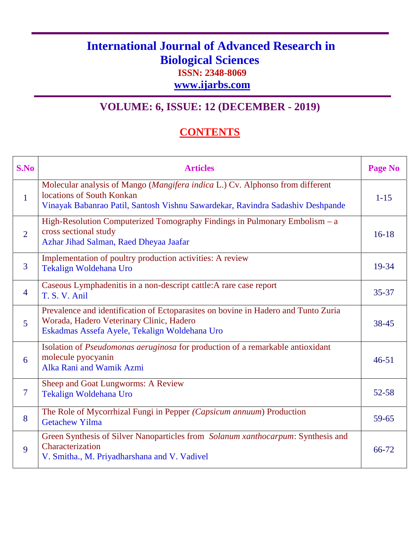## **International Journal of Advanced Research in Biological Sciences ISSN: 2348-8069**

**www.ijarbs.com**

## **VOLUME: 6, ISSUE: 12 (DECEMBER - 2019)**

## **CONTENTS**

| S.No           | <b>Articles</b>                                                                                                                                                                              | <b>Page No</b> |
|----------------|----------------------------------------------------------------------------------------------------------------------------------------------------------------------------------------------|----------------|
| $\mathbf{1}$   | Molecular analysis of Mango (Mangifera indica L.) Cv. Alphonso from different<br>locations of South Konkan<br>Vinayak Babanrao Patil, Santosh Vishnu Sawardekar, Ravindra Sadashiv Deshpande | $1 - 15$       |
| $\overline{2}$ | High-Resolution Computerized Tomography Findings in Pulmonary Embolism - a<br>cross sectional study<br>Azhar Jihad Salman, Raed Dheyaa Jaafar                                                | $16-18$        |
| $\overline{3}$ | Implementation of poultry production activities: A review<br>Tekalign Woldehana Uro                                                                                                          | 19-34          |
| $\overline{4}$ | Caseous Lymphadenitis in a non-descript cattle: A rare case report<br>T. S. V. Anil                                                                                                          | $35 - 37$      |
| 5              | Prevalence and identification of Ectoparasites on bovine in Hadero and Tunto Zuria<br>Worada, Hadero Veterinary Clinic, Hadero<br>Eskadmas Assefa Ayele, Tekalign Woldehana Uro              | 38-45          |
| 6              | Isolation of Pseudomonas aeruginosa for production of a remarkable antioxidant<br>molecule pyocyanin<br>Alka Rani and Wamik Azmi                                                             | $46 - 51$      |
| $\overline{7}$ | Sheep and Goat Lungworms: A Review<br>Tekalign Woldehana Uro                                                                                                                                 | $52 - 58$      |
| 8              | The Role of Mycorrhizal Fungi in Pepper (Capsicum annuum) Production<br><b>Getachew Yilma</b>                                                                                                | 59-65          |
| 9              | Green Synthesis of Silver Nanoparticles from Solanum xanthocarpum: Synthesis and<br>Characterization<br>V. Smitha., M. Priyadharshana and V. Vadivel                                         | 66-72          |